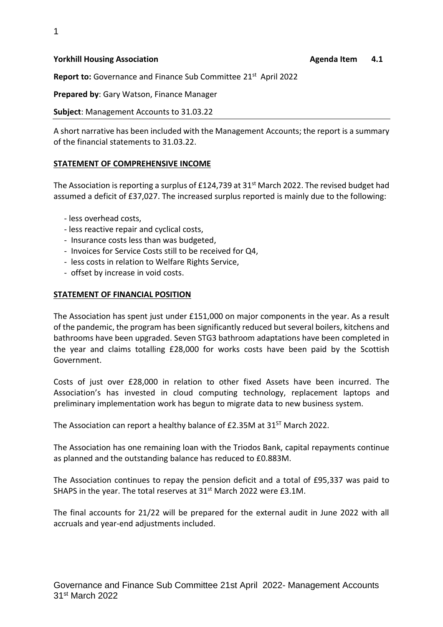#### **Yorkhill Housing Association Agenda Item 4.1 Agenda Item 4.1**

Report to: Governance and Finance Sub Committee 21<sup>st</sup> April 2022

**Prepared by**: Gary Watson, Finance Manager

**Subject**: Management Accounts to 31.03.22

A short narrative has been included with the Management Accounts; the report is a summary of the financial statements to 31.03.22.

## **STATEMENT OF COMPREHENSIVE INCOME**

The Association is reporting a surplus of £124,739 at 31<sup>st</sup> March 2022. The revised budget had assumed a deficit of £37,027. The increased surplus reported is mainly due to the following:

- less overhead costs,
- less reactive repair and cyclical costs,
- Insurance costs less than was budgeted,
- Invoices for Service Costs still to be received for Q4,
- less costs in relation to Welfare Rights Service,
- offset by increase in void costs.

## **STATEMENT OF FINANCIAL POSITION**

The Association has spent just under £151,000 on major components in the year. As a result of the pandemic, the program has been significantly reduced but several boilers, kitchens and bathrooms have been upgraded. Seven STG3 bathroom adaptations have been completed in the year and claims totalling £28,000 for works costs have been paid by the Scottish Government.

Costs of just over £28,000 in relation to other fixed Assets have been incurred. The Association's has invested in cloud computing technology, replacement laptops and preliminary implementation work has begun to migrate data to new business system.

The Association can report a healthy balance of £2.35M at 31<sup>ST</sup> March 2022.

The Association has one remaining loan with the Triodos Bank, capital repayments continue as planned and the outstanding balance has reduced to £0.883M.

The Association continues to repay the pension deficit and a total of £95,337 was paid to SHAPS in the year. The total reserves at 31<sup>st</sup> March 2022 were £3.1M.

The final accounts for 21/22 will be prepared for the external audit in June 2022 with all accruals and year-end adjustments included.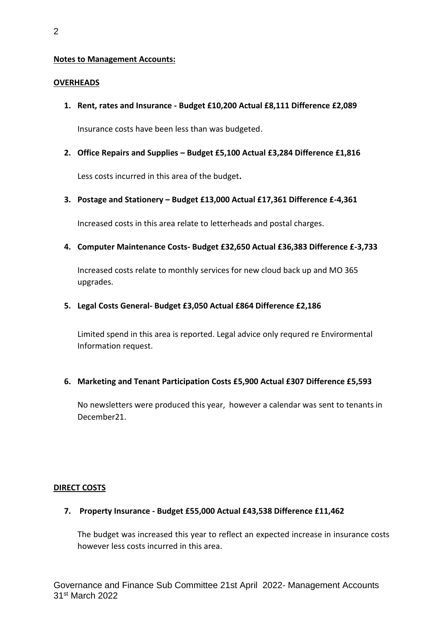## **Notes to Management Accounts:**

## **OVERHEADS**

**1. Rent, rates and Insurance - Budget £10,200 Actual £8,111 Difference £2,089**

Insurance costs have been less than was budgeted.

**2. Office Repairs and Supplies – Budget £5,100 Actual £3,284 Difference £1,816**

Less costs incurred in this area of the budget**.** 

**3. Postage and Stationery – Budget £13,000 Actual £17,361 Difference £-4,361**

Increased costs in this area relate to letterheads and postal charges.

**4. Computer Maintenance Costs- Budget £32,650 Actual £36,383 Difference £-3,733**

Increased costs relate to monthly services for new cloud back up and MO 365 upgrades.

## **5. Legal Costs General- Budget £3,050 Actual £864 Difference £2,186**

Limited spend in this area is reported. Legal advice only requred re Envirormental Information request.

## **6. Marketing and Tenant Participation Costs £5,900 Actual £307 Difference £5,593**

No newsletters were produced this year, however a calendar was sent to tenants in December21.

## **DIRECT COSTS**

**7. Property Insurance - Budget £55,000 Actual £43,538 Difference £11,462**

The budget was increased this year to reflect an expected increase in insurance costs however less costs incurred in this area.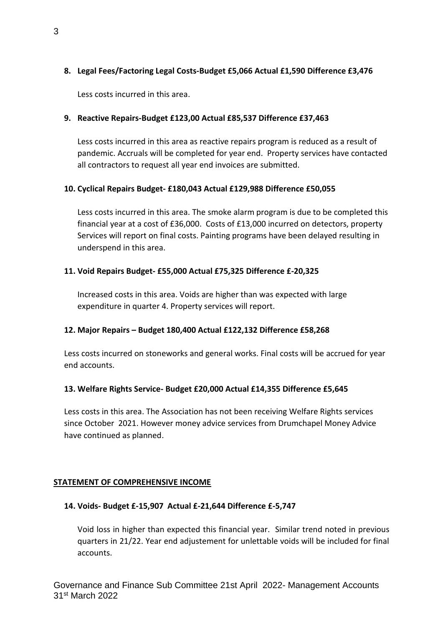# **8. Legal Fees/Factoring Legal Costs-Budget £5,066 Actual £1,590 Difference £3,476**

Less costs incurred in this area.

# **9. Reactive Repairs-Budget £123,00 Actual £85,537 Difference £37,463**

Less costs incurred in this area as reactive repairs program is reduced as a result of pandemic. Accruals will be completed for year end. Property services have contacted all contractors to request all year end invoices are submitted.

# **10. Cyclical Repairs Budget- £180,043 Actual £129,988 Difference £50,055**

Less costs incurred in this area. The smoke alarm program is due to be completed this financial year at a cost of £36,000. Costs of £13,000 incurred on detectors, property Services will report on final costs. Painting programs have been delayed resulting in underspend in this area.

## **11. Void Repairs Budget- £55,000 Actual £75,325 Difference £-20,325**

Increased costs in this area. Voids are higher than was expected with large expenditure in quarter 4. Property services will report.

## **12. Major Repairs – Budget 180,400 Actual £122,132 Difference £58,268**

Less costs incurred on stoneworks and general works. Final costs will be accrued for year end accounts.

# **13. Welfare Rights Service- Budget £20,000 Actual £14,355 Difference £5,645**

Less costs in this area. The Association has not been receiving Welfare Rights services since October 2021. However money advice services from Drumchapel Money Advice have continued as planned.

## **STATEMENT OF COMPREHENSIVE INCOME**

## **14. Voids- Budget £-15,907 Actual £-21,644 Difference £-5,747**

Void loss in higher than expected this financial year. Similar trend noted in previous quarters in 21/22. Year end adjustement for unlettable voids will be included for final accounts.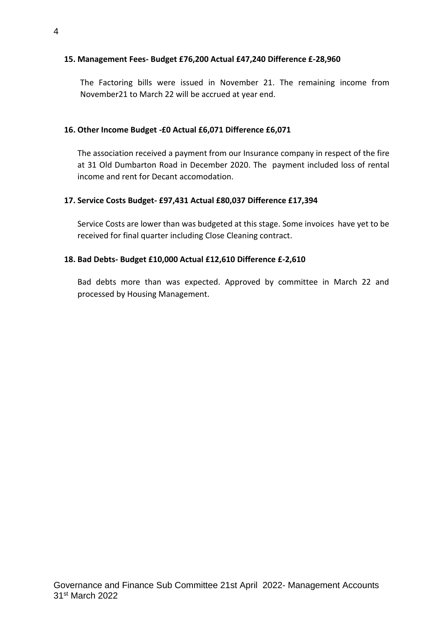## **15. Management Fees- Budget £76,200 Actual £47,240 Difference £-28,960**

The Factoring bills were issued in November 21. The remaining income from November21 to March 22 will be accrued at year end.

## **16. Other Income Budget -£0 Actual £6,071 Difference £6,071**

The association received a payment from our Insurance company in respect of the fire at 31 Old Dumbarton Road in December 2020. The payment included loss of rental income and rent for Decant accomodation.

## **17. Service Costs Budget- £97,431 Actual £80,037 Difference £17,394**

Service Costs are lower than was budgeted at this stage. Some invoices have yet to be received for final quarter including Close Cleaning contract.

## **18. Bad Debts- Budget £10,000 Actual £12,610 Difference £-2,610**

Bad debts more than was expected. Approved by committee in March 22 and processed by Housing Management.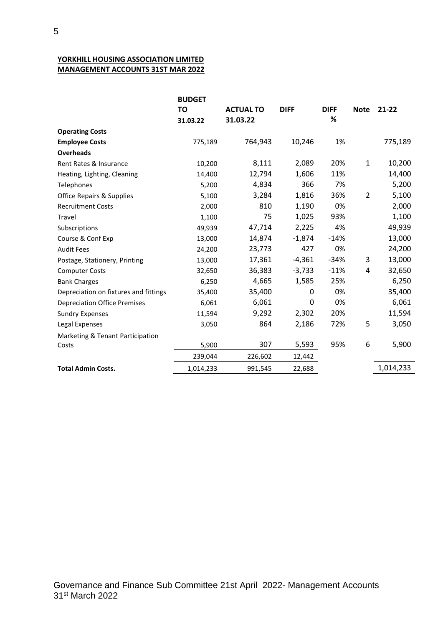## **YORKHILL HOUSING ASSOCIATION LIMITED MANAGEMENT ACCOUNTS 31ST MAR 2022**

|                                       | <b>BUDGET</b> |                  |             |             |                |           |
|---------------------------------------|---------------|------------------|-------------|-------------|----------------|-----------|
|                                       | <b>TO</b>     | <b>ACTUAL TO</b> | <b>DIFF</b> | <b>DIFF</b> | <b>Note</b>    | $21 - 22$ |
|                                       | 31.03.22      | 31.03.22         |             | %           |                |           |
| <b>Operating Costs</b>                |               |                  |             |             |                |           |
| <b>Employee Costs</b>                 | 775,189       | 764,943          | 10,246      | 1%          |                | 775,189   |
| <b>Overheads</b>                      |               |                  |             |             |                |           |
| Rent Rates & Insurance                | 10,200        | 8,111            | 2,089       | 20%         | $\mathbf{1}$   | 10,200    |
| Heating, Lighting, Cleaning           | 14,400        | 12,794           | 1,606       | 11%         |                | 14,400    |
| Telephones                            | 5,200         | 4,834            | 366         | 7%          |                | 5,200     |
| <b>Office Repairs &amp; Supplies</b>  | 5,100         | 3,284            | 1,816       | 36%         | $\overline{2}$ | 5,100     |
| <b>Recruitment Costs</b>              | 2,000         | 810              | 1,190       | 0%          |                | 2,000     |
| Travel                                | 1,100         | 75               | 1,025       | 93%         |                | 1,100     |
| Subscriptions                         | 49,939        | 47,714           | 2,225       | 4%          |                | 49,939    |
| Course & Conf Exp                     | 13,000        | 14,874           | $-1,874$    | $-14%$      |                | 13,000    |
| <b>Audit Fees</b>                     | 24,200        | 23,773           | 427         | 0%          |                | 24,200    |
| Postage, Stationery, Printing         | 13,000        | 17,361           | $-4,361$    | $-34%$      | 3              | 13,000    |
| <b>Computer Costs</b>                 | 32,650        | 36,383           | $-3,733$    | $-11%$      | 4              | 32,650    |
| <b>Bank Charges</b>                   | 6,250         | 4,665            | 1,585       | 25%         |                | 6,250     |
| Depreciation on fixtures and fittings | 35,400        | 35,400           | 0           | 0%          |                | 35,400    |
| <b>Depreciation Office Premises</b>   | 6,061         | 6,061            | 0           | 0%          |                | 6,061     |
| <b>Sundry Expenses</b>                | 11,594        | 9,292            | 2,302       | 20%         |                | 11,594    |
| Legal Expenses                        | 3,050         | 864              | 2,186       | 72%         | 5              | 3,050     |
| Marketing & Tenant Participation      |               |                  |             |             |                |           |
| Costs                                 | 5,900         | 307              | 5,593       | 95%         | 6              | 5,900     |
|                                       | 239,044       | 226,602          | 12,442      |             |                |           |
| <b>Total Admin Costs.</b>             | 1,014,233     | 991,545          | 22,688      |             |                | 1,014,233 |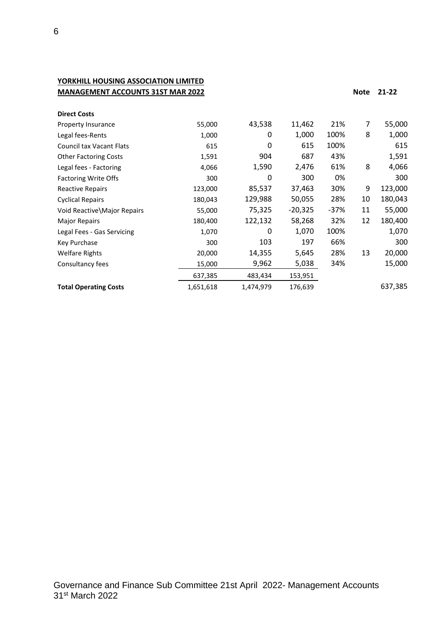# **YORKHILL HOUSING ASSOCIATION LIMITED MANAGEMENT ACCOUNTS 31ST MAR 2022 Note 21-22**

| <b>Direct Costs</b>             |           |           |           |        |    |         |
|---------------------------------|-----------|-----------|-----------|--------|----|---------|
| Property Insurance              | 55,000    | 43,538    | 11,462    | 21%    | 7  | 55,000  |
| Legal fees-Rents                | 1,000     | 0         | 1,000     | 100%   | 8  | 1,000   |
| <b>Council tax Vacant Flats</b> | 615       | 0         | 615       | 100%   |    | 615     |
| <b>Other Factoring Costs</b>    | 1,591     | 904       | 687       | 43%    |    | 1,591   |
| Legal fees - Factoring          | 4,066     | 1,590     | 2,476     | 61%    | 8  | 4,066   |
| <b>Factoring Write Offs</b>     | 300       | 0         | 300       | 0%     |    | 300     |
| <b>Reactive Repairs</b>         | 123,000   | 85,537    | 37,463    | 30%    | 9  | 123,000 |
| <b>Cyclical Repairs</b>         | 180,043   | 129,988   | 50,055    | 28%    | 10 | 180,043 |
| Void Reactive\Major Repairs     | 55,000    | 75,325    | $-20,325$ | $-37%$ | 11 | 55,000  |
| <b>Major Repairs</b>            | 180,400   | 122,132   | 58,268    | 32%    | 12 | 180,400 |
| Legal Fees - Gas Servicing      | 1,070     | 0         | 1,070     | 100%   |    | 1,070   |
| Key Purchase                    | 300       | 103       | 197       | 66%    |    | 300     |
| <b>Welfare Rights</b>           | 20,000    | 14,355    | 5,645     | 28%    | 13 | 20,000  |
| Consultancy fees                | 15,000    | 9,962     | 5,038     | 34%    |    | 15,000  |
|                                 | 637,385   | 483,434   | 153,951   |        |    |         |
| <b>Total Operating Costs</b>    | 1,651,618 | 1,474,979 | 176,639   |        |    | 637,385 |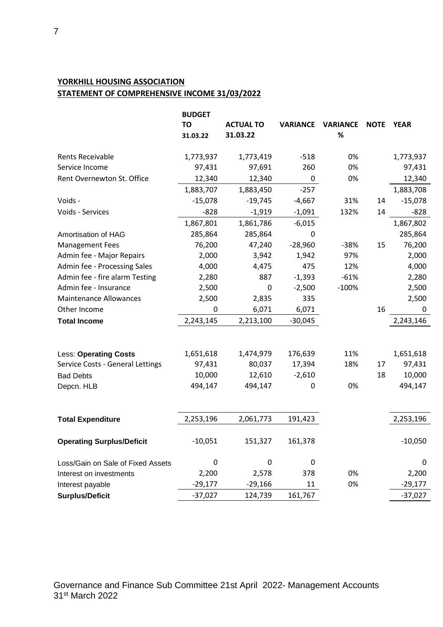# **YORKHILL HOUSING ASSOCIATION STATEMENT OF COMPREHENSIVE INCOME 31/03/2022**

|                                   | <b>BUDGET</b> |                  |                 |                 |             |             |
|-----------------------------------|---------------|------------------|-----------------|-----------------|-------------|-------------|
|                                   | TO            | <b>ACTUAL TO</b> | <b>VARIANCE</b> | <b>VARIANCE</b> | <b>NOTE</b> | <b>YEAR</b> |
|                                   | 31.03.22      | 31.03.22         |                 | %               |             |             |
| Rents Receivable                  | 1,773,937     | 1,773,419        | $-518$          | 0%              |             | 1,773,937   |
| Service Income                    | 97,431        | 97,691           | 260             | 0%              |             | 97,431      |
| Rent Overnewton St. Office        | 12,340        | 12,340           | 0               | 0%              |             | 12,340      |
|                                   | 1,883,707     | 1,883,450        | $-257$          |                 |             | 1,883,708   |
| Voids -                           | $-15,078$     | $-19,745$        | $-4,667$        | 31%             | 14          | $-15,078$   |
| Voids - Services                  | $-828$        | $-1,919$         | $-1,091$        | 132%            | 14          | $-828$      |
|                                   | 1,867,801     | 1,861,786        | $-6,015$        |                 |             | 1,867,802   |
| Amortisation of HAG               | 285,864       | 285,864          | 0               |                 |             | 285,864     |
| <b>Management Fees</b>            | 76,200        | 47,240           | $-28,960$       | $-38%$          | 15          | 76,200      |
| Admin fee - Major Repairs         | 2,000         | 3,942            | 1,942           | 97%             |             | 2,000       |
| Admin fee - Processing Sales      | 4,000         | 4,475            | 475             | 12%             |             | 4,000       |
| Admin fee - fire alarm Testing    | 2,280         | 887              | $-1,393$        | $-61%$          |             | 2,280       |
| Admin fee - Insurance             | 2,500         | 0                | $-2,500$        | $-100%$         |             | 2,500       |
| <b>Maintenance Allowances</b>     | 2,500         | 2,835            | 335             |                 |             | 2,500       |
| Other Income                      | 0             | 6,071            | 6,071           |                 | 16          | 0           |
| <b>Total Income</b>               | 2,243,145     | 2,213,100        | $-30,045$       |                 |             | 2,243,146   |
|                                   |               |                  |                 |                 |             |             |
| <b>Less: Operating Costs</b>      | 1,651,618     | 1,474,979        | 176,639         | 11%             |             | 1,651,618   |
| Service Costs - General Lettings  | 97,431        | 80,037           | 17,394          | 18%             | 17          | 97,431      |
| <b>Bad Debts</b>                  | 10,000        | 12,610           | $-2,610$        |                 | 18          | 10,000      |
| Depcn. HLB                        | 494,147       | 494,147          | 0               | 0%              |             | 494,147     |
|                                   |               |                  |                 |                 |             |             |
| <b>Total Expenditure</b>          | 2,253,196     | 2,061,773        | 191,423         |                 |             | 2,253,196   |
| <b>Operating Surplus/Deficit</b>  | $-10,051$     | 151,327          | 161,378         |                 |             | $-10,050$   |
| Loss/Gain on Sale of Fixed Assets | 0             | 0                | 0               |                 |             | 0           |
| Interest on investments           | 2,200         | 2,578            | 378             | 0%              |             | 2,200       |
| Interest payable                  | $-29,177$     | $-29,166$        | 11              | 0%              |             | $-29,177$   |
| <b>Surplus/Deficit</b>            | $-37,027$     | 124,739          | 161,767         |                 |             | $-37,027$   |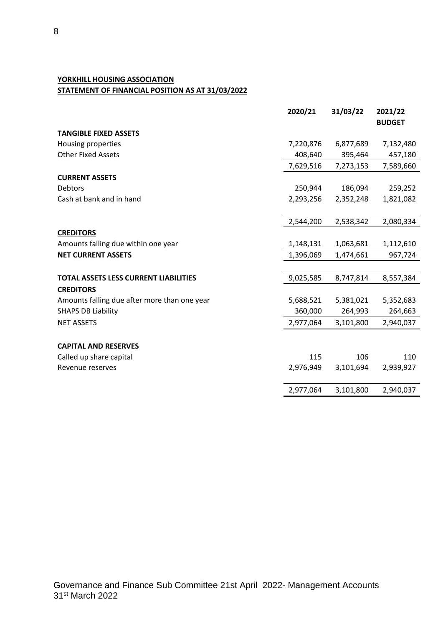## **YORKHILL HOUSING ASSOCIATION STATEMENT OF FINANCIAL POSITION AS AT 31/03/2022**

|                                              | 2020/21   | 31/03/22  | 2021/22       |
|----------------------------------------------|-----------|-----------|---------------|
|                                              |           |           | <b>BUDGET</b> |
| <b>TANGIBLE FIXED ASSETS</b>                 |           |           |               |
| Housing properties                           | 7,220,876 | 6,877,689 | 7,132,480     |
| <b>Other Fixed Assets</b>                    | 408,640   | 395,464   | 457,180       |
|                                              | 7,629,516 | 7,273,153 | 7,589,660     |
| <b>CURRENT ASSETS</b>                        |           |           |               |
| Debtors                                      | 250,944   | 186,094   | 259,252       |
| Cash at bank and in hand                     | 2,293,256 | 2,352,248 | 1,821,082     |
|                                              | 2,544,200 | 2,538,342 | 2,080,334     |
| <b>CREDITORS</b>                             |           |           |               |
| Amounts falling due within one year          | 1,148,131 | 1,063,681 | 1,112,610     |
| <b>NET CURRENT ASSETS</b>                    | 1,396,069 | 1,474,661 | 967,724       |
|                                              |           |           |               |
| <b>TOTAL ASSETS LESS CURRENT LIABILITIES</b> | 9,025,585 | 8,747,814 | 8,557,384     |
| <b>CREDITORS</b>                             |           |           |               |
| Amounts falling due after more than one year | 5,688,521 | 5,381,021 | 5,352,683     |
| <b>SHAPS DB Liability</b>                    | 360,000   | 264,993   | 264,663       |
| <b>NET ASSETS</b>                            | 2,977,064 | 3,101,800 | 2,940,037     |
| <b>CAPITAL AND RESERVES</b>                  |           |           |               |
| Called up share capital                      | 115       | 106       | 110           |
| Revenue reserves                             | 2,976,949 | 3,101,694 | 2,939,927     |
|                                              | 2,977,064 | 3,101,800 | 2,940,037     |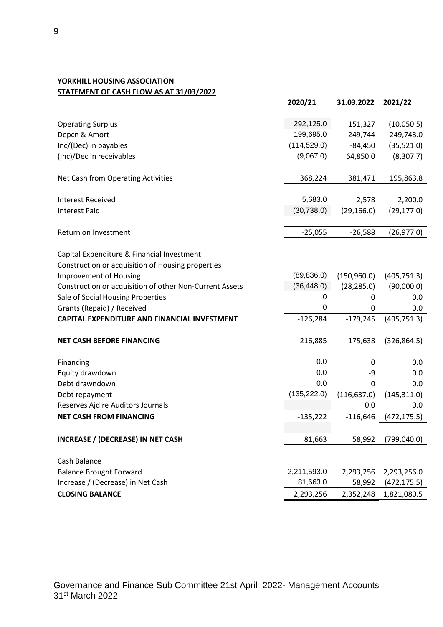# **YORKHILL HOUSING ASSOCIATION STATEMENT OF CASH FLOW AS AT 31/03/2022**

|                                                         | 2020/21      | 31.03.2022   | 2021/22      |
|---------------------------------------------------------|--------------|--------------|--------------|
| <b>Operating Surplus</b>                                | 292,125.0    | 151,327      | (10,050.5)   |
| Depcn & Amort                                           | 199,695.0    | 249,744      | 249,743.0    |
| Inc/(Dec) in payables                                   | (114, 529.0) | $-84,450$    | (35,521.0)   |
| (Inc)/Dec in receivables                                | (9,067.0)    | 64,850.0     | (8,307.7)    |
| Net Cash from Operating Activities                      | 368,224      | 381,471      | 195,863.8    |
| <b>Interest Received</b>                                | 5,683.0      | 2,578        | 2,200.0      |
| <b>Interest Paid</b>                                    | (30, 738.0)  | (29, 166.0)  | (29, 177.0)  |
| Return on Investment                                    | $-25,055$    | $-26,588$    | (26, 977.0)  |
| Capital Expenditure & Financial Investment              |              |              |              |
| Construction or acquisition of Housing properties       |              |              |              |
| <b>Improvement of Housing</b>                           | (89, 836.0)  | (150, 960.0) | (405, 751.3) |
| Construction or acquisition of other Non-Current Assets | (36, 448.0)  | (28, 285.0)  | (90,000.0)   |
| Sale of Social Housing Properties                       | 0            | 0            | 0.0          |
| Grants (Repaid) / Received                              | 0            | 0            | 0.0          |
| <b>CAPITAL EXPENDITURE AND FINANCIAL INVESTMENT</b>     | $-126,284$   | $-179,245$   | (495, 751.3) |
| <b>NET CASH BEFORE FINANCING</b>                        | 216,885      | 175,638      | (326, 864.5) |
| Financing                                               | 0.0          | 0            | 0.0          |
| Equity drawdown                                         | 0.0          | -9           | 0.0          |
| Debt drawndown                                          | 0.0          | 0            | 0.0          |
| Debt repayment                                          | (135, 222.0) | (116, 637.0) | (145, 311.0) |
| Reserves Ajd re Auditors Journals                       |              | 0.0          | 0.0          |
| <b>NET CASH FROM FINANCING</b>                          | $-135,222$   | $-116,646$   | (472, 175.5) |
|                                                         |              |              |              |
| <b>INCREASE / (DECREASE) IN NET CASH</b>                | 81,663       | 58,992       | (799,040.0)  |
| Cash Balance                                            |              |              |              |
| <b>Balance Brought Forward</b>                          | 2,211,593.0  | 2,293,256    | 2,293,256.0  |
| Increase / (Decrease) in Net Cash                       | 81,663.0     | 58,992       | (472, 175.5) |
| <b>CLOSING BALANCE</b>                                  | 2,293,256    | 2,352,248    | 1,821,080.5  |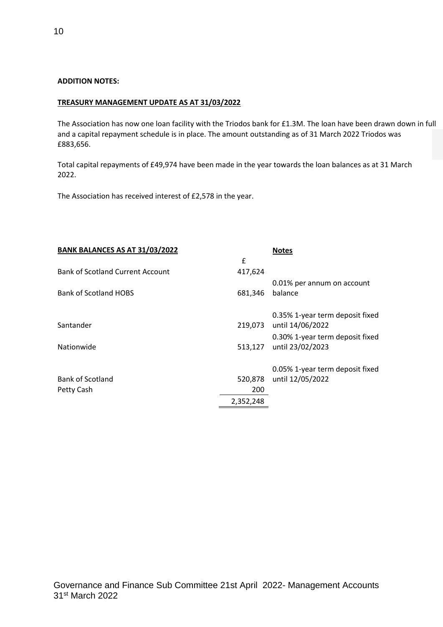#### **ADDITION NOTES:**

#### **TREASURY MANAGEMENT UPDATE AS AT 31/03/2022**

The Association has now one loan facility with the Triodos bank for £1.3M. The loan have been drawn down in full and a capital repayment schedule is in place. The amount outstanding as of 31 March 2022 Triodos was £883,656.

Total capital repayments of £49,974 have been made in the year towards the loan balances as at 31 March 2022.

The Association has received interest of £2,578 in the year.

| BANK BALANCES AS AT 31/03/2022          |           | <b>Notes</b>                    |
|-----------------------------------------|-----------|---------------------------------|
|                                         | £         |                                 |
| <b>Bank of Scotland Current Account</b> | 417,624   |                                 |
|                                         |           | 0.01% per annum on account      |
| <b>Bank of Scotland HOBS</b>            | 681,346   | balance                         |
|                                         |           | 0.35% 1-year term deposit fixed |
| Santander                               |           | 219,073 until 14/06/2022        |
|                                         |           | 0.30% 1-year term deposit fixed |
| Nationwide                              | 513,127   | until 23/02/2023                |
|                                         |           | 0.05% 1-year term deposit fixed |
| <b>Bank of Scotland</b>                 | 520,878   | until 12/05/2022                |
| Petty Cash                              | 200       |                                 |
|                                         | 2,352,248 |                                 |
|                                         |           |                                 |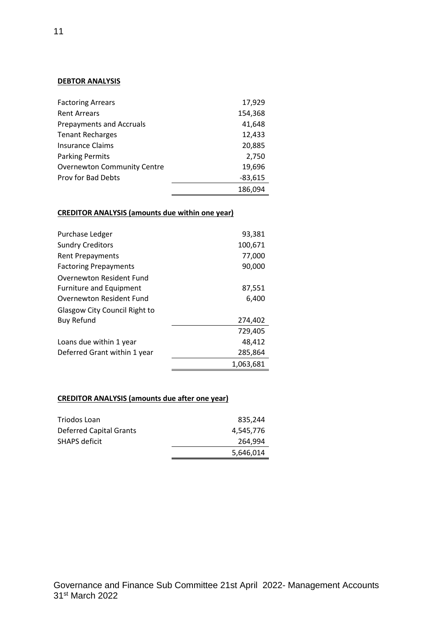#### **DEBTOR ANALYSIS**

| <b>Factoring Arrears</b>           | 17,929    |
|------------------------------------|-----------|
| <b>Rent Arrears</b>                | 154,368   |
| <b>Prepayments and Accruals</b>    | 41,648    |
| <b>Tenant Recharges</b>            | 12,433    |
| <b>Insurance Claims</b>            | 20,885    |
| <b>Parking Permits</b>             | 2,750     |
| <b>Overnewton Community Centre</b> | 19,696    |
| <b>Prov for Bad Debts</b>          | $-83,615$ |
|                                    | 186,094   |

# **CREDITOR ANALYSIS (amounts due within one year)**

| Purchase Ledger                | 93,381    |
|--------------------------------|-----------|
| <b>Sundry Creditors</b>        | 100,671   |
| <b>Rent Prepayments</b>        | 77,000    |
| <b>Factoring Prepayments</b>   | 90,000    |
| Overnewton Resident Fund       |           |
| <b>Furniture and Equipment</b> | 87,551    |
| Overnewton Resident Fund       | 6,400     |
| Glasgow City Council Right to  |           |
| <b>Buy Refund</b>              | 274,402   |
|                                | 729,405   |
| Loans due within 1 year        | 48,412    |
| Deferred Grant within 1 year   | 285,864   |
|                                | 1,063,681 |

#### **CREDITOR ANALYSIS (amounts due after one year)**

| <b>Deferred Capital Grants</b> | 4,545,776 |
|--------------------------------|-----------|
| <b>SHAPS deficit</b>           | 264.994   |
|                                | 5,646,014 |